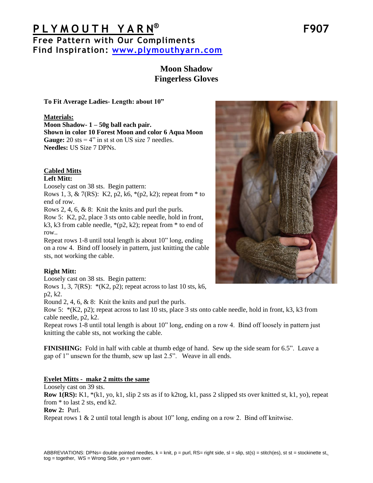# **P L Y M O U T H Y A R N ® F907 Free Pattern with Our Compliments Find Inspiration: [www.plymouthyarn.com](http://www.plymouthyarn.com/)**

# **Moon Shadow Fingerless Gloves**

**To Fit Average Ladies- Length: about 10"**

### **Materials:**

**Moon Shadow- 1 – 50g ball each pair. Shown in color 10 Forest Moon and color 6 Aqua Moon Gauge:** 20 sts  $= 4$ " in st st on US size 7 needles. **Needles:** US Size 7 DPNs.

# **Cabled Mitts**

### **Left Mitt:**

Loosely cast on 38 sts. Begin pattern:

Rows 1, 3, & 7(RS): K2, p2, k6,  $*(p2, k2)$ ; repeat from  $*$  to end of row.

Rows 2, 4, 6, & 8: Knit the knits and purl the purls.

Row 5: K2, p2, place 3 sts onto cable needle, hold in front, k3, k3 from cable needle,  $*(p2, k2)$ ; repeat from  $*$  to end of row..

Repeat rows 1-8 until total length is about 10" long, ending on a row 4. Bind off loosely in pattern, just knitting the cable sts, not working the cable.

## **Right Mitt:**

Loosely cast on 38 sts. Begin pattern:

Rows 1, 3,  $7(RS)$ :  $*(K2, p2)$ ; repeat across to last 10 sts, k6, p2, k2.

Round 2, 4, 6, & 8: Knit the knits and purl the purls.

Row 5:  $*(K2, p2)$ ; repeat across to last 10 sts, place 3 sts onto cable needle, hold in front, k3, k3 from cable needle, p2, k2.

Repeat rows 1-8 until total length is about 10" long, ending on a row 4. Bind off loosely in pattern just knitting the cable sts, not working the cable.

**FINISHING:** Fold in half with cable at thumb edge of hand. Sew up the side seam for 6.5". Leave a gap of 1" unsewn for the thumb, sew up last 2.5". Weave in all ends.

## **Eyelet Mitts - make 2 mitts the same**

Loosely cast on 39 sts.

**Row 1(RS):** K1, \*(k1, yo, k1, slip 2 sts as if to k2tog, k1, pass 2 slipped sts over knitted st, k1, yo), repeat from \* to last 2 sts, end k2.

## **Row 2:** Purl.

Repeat rows 1 & 2 until total length is about 10" long, ending on a row 2. Bind off knitwise.